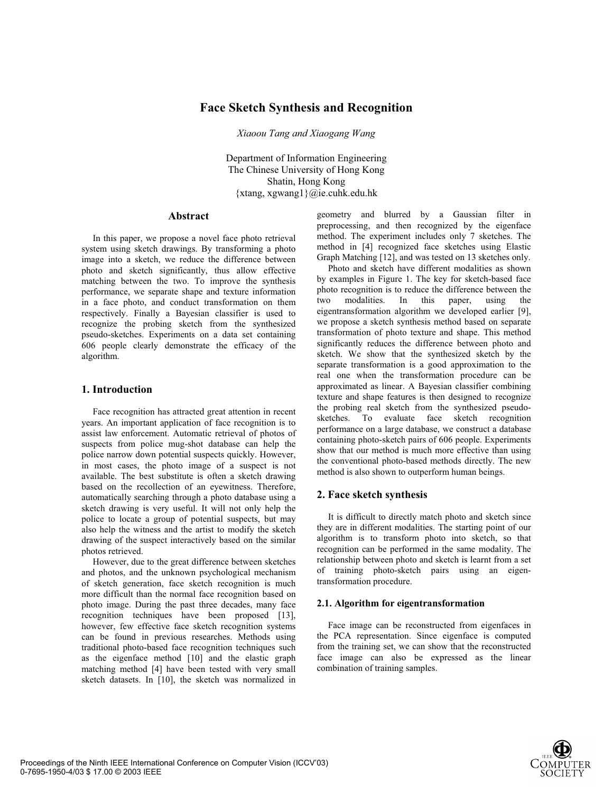# **Face Sketch Synthesis and Recognition**

*Xiaoou Tang and Xiaogang Wang* 

Department of Information Engineering The Chinese University of Hong Kong Shatin, Hong Kong {xtang, xgwang1}@ie.cuhk.edu.hk

### **Abstract**

In this paper, we propose a novel face photo retrieval system using sketch drawings. By transforming a photo image into a sketch, we reduce the difference between photo and sketch significantly, thus allow effective matching between the two. To improve the synthesis performance, we separate shape and texture information in a face photo, and conduct transformation on them respectively. Finally a Bayesian classifier is used to recognize the probing sketch from the synthesized pseudo-sketches. Experiments on a data set containing 606 people clearly demonstrate the efficacy of the algorithm.

### **1. Introduction**

Face recognition has attracted great attention in recent years. An important application of face recognition is to assist law enforcement. Automatic retrieval of photos of suspects from police mug-shot database can help the police narrow down potential suspects quickly. However, in most cases, the photo image of a suspect is not available. The best substitute is often a sketch drawing based on the recollection of an eyewitness. Therefore, automatically searching through a photo database using a sketch drawing is very useful. It will not only help the police to locate a group of potential suspects, but may also help the witness and the artist to modify the sketch drawing of the suspect interactively based on the similar photos retrieved.

However, due to the great difference between sketches and photos, and the unknown psychological mechanism of sketch generation, face sketch recognition is much more difficult than the normal face recognition based on photo image. During the past three decades, many face recognition techniques have been proposed [13], however, few effective face sketch recognition systems can be found in previous researches. Methods using traditional photo-based face recognition techniques such as the eigenface method [10] and the elastic graph matching method [4] have been tested with very small sketch datasets. In [10], the sketch was normalized in

geometry and blurred by a Gaussian filter in preprocessing, and then recognized by the eigenface method. The experiment includes only 7 sketches. The method in [4] recognized face sketches using Elastic Graph Matching [12], and was tested on 13 sketches only.

Photo and sketch have different modalities as shown by examples in Figure 1. The key for sketch-based face photo recognition is to reduce the difference between the two modalities. In this paper, using the two modalities. In this paper, using the eigentransformation algorithm we developed earlier [9], we propose a sketch synthesis method based on separate transformation of photo texture and shape. This method significantly reduces the difference between photo and sketch. We show that the synthesized sketch by the separate transformation is a good approximation to the real one when the transformation procedure can be approximated as linear. A Bayesian classifier combining texture and shape features is then designed to recognize the probing real sketch from the synthesized pseudosketches. To evaluate face sketch recognition performance on a large database, we construct a database containing photo-sketch pairs of 606 people. Experiments show that our method is much more effective than using the conventional photo-based methods directly. The new method is also shown to outperform human beings.

### **2. Face sketch synthesis**

It is difficult to directly match photo and sketch since they are in different modalities. The starting point of our algorithm is to transform photo into sketch, so that recognition can be performed in the same modality. The relationship between photo and sketch is learnt from a set of training photo-sketch pairs using an eigentransformation procedure.

#### **2.1. Algorithm for eigentransformation**

Face image can be reconstructed from eigenfaces in the PCA representation. Since eigenface is computed from the training set, we can show that the reconstructed face image can also be expressed as the linear combination of training samples.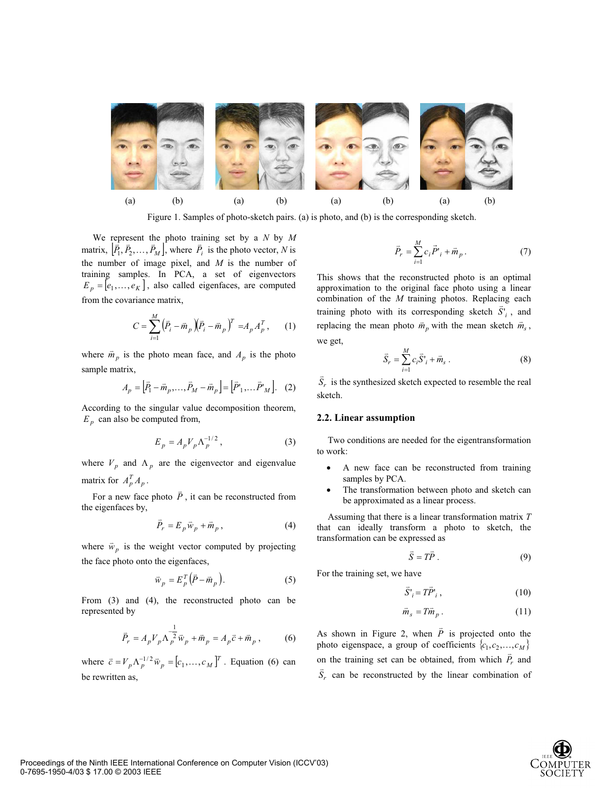

Figure 1. Samples of photo-sketch pairs. (a) is photo, and (b) is the corresponding sketch.

We represent the photo training set by a *N* by *M* we represent the photo training set by a *N* by *M*<br>matrix,  $[\bar{P}_1, \bar{P}_2, ..., \bar{P}_M]$ , where  $\bar{P}_i$  is the photo vector, *N* is the number of image pixel, and *M* is the number of training samples. In PCA, a set of eigenvectors  $E_p = [e_1, \ldots, e_K]$ , also called eigenfaces, are computed from the covariance matrix,

$$
C = \sum_{i=1}^{M} (\bar{P}_i - \bar{m}_p)(\bar{P}_i - \bar{m}_p)^T = A_p A_p^T, \qquad (1)
$$

where  $\vec{m}_p$  is the photo mean face, and  $A_p$  is the photo sample matrix,

$$
A_p = \left[\vec{P}_1 - \vec{m}_p, \dots, \vec{P}_M - \vec{m}_p\right] = \left[\vec{P}'_1, \dots, \vec{P}'_M\right].
$$
 (2)

According to the singular value decomposition theorem,  $E_p$  can also be computed from,

$$
E_p = A_p V_p \Lambda_p^{-1/2},\qquad(3)
$$

where  $V_p$  and  $\Lambda_p$  are the eigenvector and eigenvalue matrix for  $A_p^T A_p$ .

For a new face photo  $\overline{P}$ , it can be reconstructed from the eigenfaces by,

$$
\vec{P}_r = E_p \vec{w}_p + \vec{m}_p , \qquad (4)
$$

where  $\vec{w}_p$  is the weight vector computed by projecting the face photo onto the eigenfaces,

$$
\vec{w}_p = E_p^T (\vec{P} - \vec{m}_p). \tag{5}
$$

From (3) and (4), the reconstructed photo can be represented by

$$
\vec{P}_r = A_p V_p \Lambda_p^{-1} \vec{w}_p + \vec{m}_p = A_p \vec{c} + \vec{m}_p ,
$$
 (6)

where  $\vec{c} = V_p \Lambda_p^{-1/2} \vec{w}_p = [c_1, \dots, c_M]^T$ . Equation (6) can be rewritten as,

$$
\vec{P}_r = \sum_{i=1}^{M} c_i \vec{P'}_i + \vec{m}_p.
$$
 (7)

This shows that the reconstructed photo is an optimal approximation to the original face photo using a linear combination of the *M* training photos. Replacing each training photo with its corresponding sketch  $\overline{S}^1$ , and replacing the mean photo  $\vec{m}_p$  with the mean sketch  $\vec{m}_s$ , we get,

$$
\vec{S}_r = \sum_{i=1}^{M} c_i \vec{S}_i + \vec{m}_s . \qquad (8)
$$

 $\overline{S}_r$  is the synthesized sketch expected to resemble the real sketch.

#### **2.2. Linear assumption**

Two conditions are needed for the eigentransformation to work:

- A new face can be reconstructed from training samples by PCA.
- The transformation between photo and sketch can be approximated as a linear process.

Assuming that there is a linear transformation matrix *T* that can ideally transform a photo to sketch, the transformation can be expressed as

$$
\vec{S} = T\vec{P} \ . \tag{9}
$$

For the training set, we have

$$
\vec{S'}_i = T\vec{P'}_i, \qquad (10)
$$

$$
\vec{m}_s = T \vec{m}_p \,. \tag{11}
$$

As shown in Figure 2, when  $\vec{P}$  is projected onto the photo eigenspace, a group of coefficients  $\{c_1, c_2, ..., c_M\}$ on the training set can be obtained, from which  $\overrightarrow{P}_r$  and  $\overrightarrow{S}_r$  can be reconstructed by the linear combination of

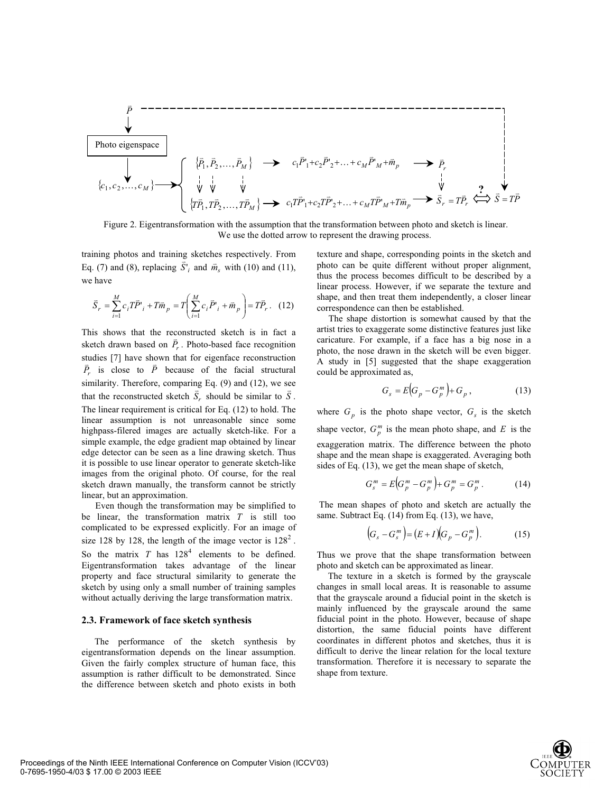

Figure 2. Eigentransformation with the assumption that the transformation between photo and sketch is linear. We use the dotted arrow to represent the drawing process.

training photos and training sketches respectively. From Eq. (7) and (8), replacing  $\overline{S}^i_i$  and  $\overline{m}_s$  with (10) and (11), we have

$$
\vec{S}_r = \sum_{i=1}^{M} c_i T \vec{P'}_i + T \vec{m}_p = T \left( \sum_{i=1}^{M} c_i \vec{P'}_i + \vec{m}_p \right) = T \vec{P}_r. \quad (12)
$$

This shows that the reconstructed sketch is in fact a This shows that the reconstructed sketch is in fact a<br>sketch drawn based on  $\overline{P}_r$ . Photo-based face recognition studies [7] have shown that for eigenface reconstruction  $\vec{P}_r$  is close to  $\vec{P}$  because of the facial structural similarity. Therefore, comparing Eq. (9) and (12), we see that the reconstructed sketch  $\vec{S}_r$  should be similar to  $\vec{S}$ . The linear requirement is critical for Eq. (12) to hold. The linear assumption is not unreasonable since some highpass-filered images are actually sketch-like. For a simple example, the edge gradient map obtained by linear edge detector can be seen as a line drawing sketch. Thus it is possible to use linear operator to generate sketch-like images from the original photo. Of course, for the real sketch drawn manually, the transform cannot be strictly linear, but an approximation.

 Even though the transformation may be simplified to be linear, the transformation matrix *T* is still too complicated to be expressed explicitly. For an image of size 128 by 128, the length of the image vector is  $128^2$ . So the matrix  $T$  has  $128<sup>4</sup>$  elements to be defined. Eigentransformation takes advantage of the linear property and face structural similarity to generate the sketch by using only a small number of training samples without actually deriving the large transformation matrix.

#### **2.3. Framework of face sketch synthesis**

The performance of the sketch synthesis by eigentransformation depends on the linear assumption. Given the fairly complex structure of human face, this assumption is rather difficult to be demonstrated. Since the difference between sketch and photo exists in both texture and shape, corresponding points in the sketch and photo can be quite different without proper alignment, thus the process becomes difficult to be described by a linear process. However, if we separate the texture and shape, and then treat them independently, a closer linear correspondence can then be established.

The shape distortion is somewhat caused by that the artist tries to exaggerate some distinctive features just like caricature. For example, if a face has a big nose in a photo, the nose drawn in the sketch will be even bigger. A study in [5] suggested that the shape exaggeration could be approximated as,

$$
G_s = E\Big(G_p - G_p^m\Big) + G_p\,,\tag{13}
$$

where  $G_p$  is the photo shape vector,  $G_s$  is the sketch shape vector,  $G_p^m$  is the mean photo shape, and *E* is the exaggeration matrix. The difference between the photo shape and the mean shape is exaggerated. Averaging both sides of Eq. (13), we get the mean shape of sketch,

$$
G_s^m = E\Big(G_p^m - G_p^m\Big) + G_p^m = G_p^m. \tag{14}
$$

 The mean shapes of photo and sketch are actually the same. Subtract Eq. (14) from Eq. (13), we have,

$$
(G_s - G_s^m) = (E + I)(G_p - G_p^m).
$$
 (15)

Thus we prove that the shape transformation between photo and sketch can be approximated as linear.

The texture in a sketch is formed by the grayscale changes in small local areas. It is reasonable to assume that the grayscale around a fiducial point in the sketch is mainly influenced by the grayscale around the same fiducial point in the photo. However, because of shape distortion, the same fiducial points have different coordinates in different photos and sketches, thus it is difficult to derive the linear relation for the local texture transformation. Therefore it is necessary to separate the shape from texture.

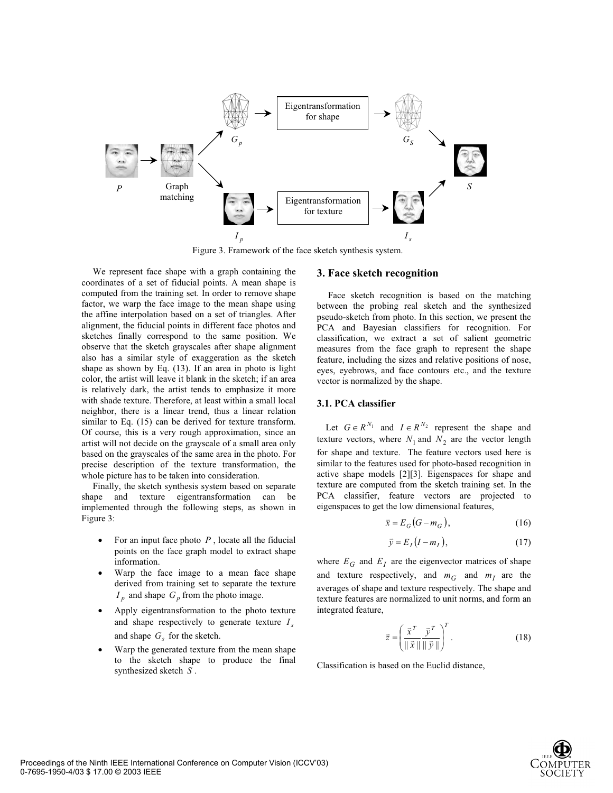

Figure 3. Framework of the face sketch synthesis system.

We represent face shape with a graph containing the coordinates of a set of fiducial points. A mean shape is computed from the training set. In order to remove shape factor, we warp the face image to the mean shape using the affine interpolation based on a set of triangles. After alignment, the fiducial points in different face photos and sketches finally correspond to the same position. We observe that the sketch grayscales after shape alignment also has a similar style of exaggeration as the sketch shape as shown by Eq. (13). If an area in photo is light color, the artist will leave it blank in the sketch; if an area is relatively dark, the artist tends to emphasize it more with shade texture. Therefore, at least within a small local neighbor, there is a linear trend, thus a linear relation similar to Eq. (15) can be derived for texture transform. Of course, this is a very rough approximation, since an artist will not decide on the grayscale of a small area only based on the grayscales of the same area in the photo. For precise description of the texture transformation, the whole picture has to be taken into consideration.

Finally, the sketch synthesis system based on separate shape and texture eigentransformation can be implemented through the following steps, as shown in Figure 3:

- For an input face photo  $P$ , locate all the fiducial points on the face graph model to extract shape information.
- Warp the face image to a mean face shape derived from training set to separate the texture  $I_p$  and shape  $G_p$  from the photo image.
- Apply eigentransformation to the photo texture and shape respectively to generate texture  $I_s$ and shape  $G_s$  for the sketch.
- Warp the generated texture from the mean shape to the sketch shape to produce the final synthesized sketch *S* .

### **3. Face sketch recognition**

Face sketch recognition is based on the matching between the probing real sketch and the synthesized pseudo-sketch from photo. In this section, we present the PCA and Bayesian classifiers for recognition. For classification, we extract a set of salient geometric measures from the face graph to represent the shape feature, including the sizes and relative positions of nose, eyes, eyebrows, and face contours etc., and the texture vector is normalized by the shape.

#### **3.1. PCA classifier**

Let  $G \in R^{N_1}$  and  $I \in R^{N_2}$  represent the shape and texture vectors, where  $N_1$  and  $N_2$  are the vector length for shape and texture. The feature vectors used here is similar to the features used for photo-based recognition in active shape models [2][3]. Eigenspaces for shape and texture are computed from the sketch training set. In the PCA classifier, feature vectors are projected to eigenspaces to get the low dimensional features,

$$
\vec{x} = E_G(G - m_G),\tag{16}
$$

$$
\bar{y} = E_I (I - m_I), \qquad (17)
$$

where  $E_G$  and  $E_I$  are the eigenvector matrices of shape and texture respectively, and  $m<sub>G</sub>$  and  $m<sub>I</sub>$  are the averages of shape and texture respectively. The shape and texture features are normalized to unit norms, and form an integrated feature,

$$
\vec{z} = \left(\frac{\vec{x}^T}{\|\vec{x}\| \|\vec{y}\|}\right)^T.
$$
 (18)

Classification is based on the Euclid distance,

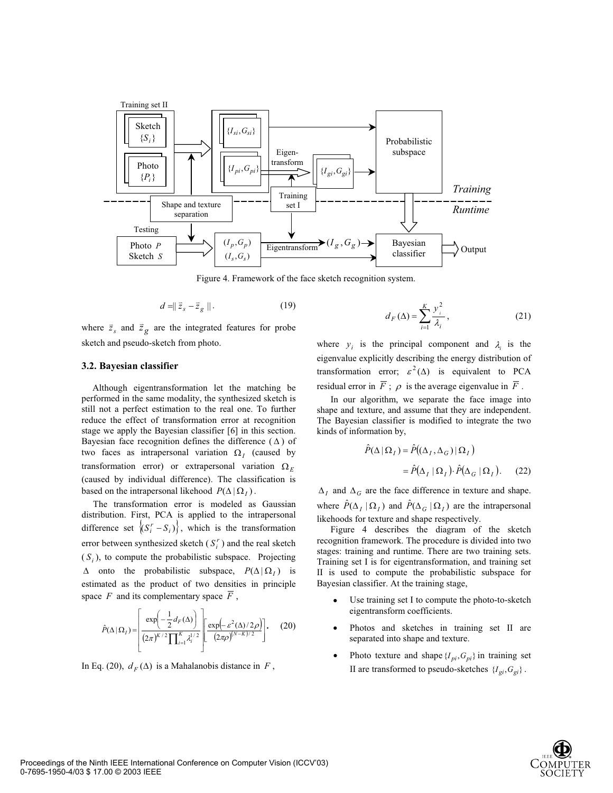

Figure 4. Framework of the face sketch recognition system.

$$
d = ||\vec{z}_s - \vec{z}_g||. \tag{19}
$$

where  $\vec{z}_s$  and  $\vec{z}_g$  are the integrated features for probe sketch and pseudo-sketch from photo.

#### **3.2. Bayesian classifier**

Although eigentransformation let the matching be performed in the same modality, the synthesized sketch is still not a perfect estimation to the real one. To further reduce the effect of transformation error at recognition stage we apply the Bayesian classifier [6] in this section. Bayesian face recognition defines the difference  $(\Delta)$  of two faces as intrapersonal variation  $\Omega_i$  (caused by transformation error) or extrapersonal variation  $\Omega_E$ (caused by individual difference). The classification is based on the intrapersonal likehood  $P(\Delta | \Omega_I)$ .

 The transformation error is modeled as Gaussian distribution. First, PCA is applied to the intrapersonal difference set  $\langle (S_i^r - S_i) \rangle$ , which is the transformation error between synthesized sketch  $(S_i^r)$  and the real sketch  $(S_i)$ , to compute the probabilistic subspace. Projecting  $\Delta$  onto the probabilistic subspace,  $P(\Delta | \Omega_i)$  is estimated as the product of two densities in principle space  $F$  and its complementary space  $\overline{F}$ ,

$$
\hat{P}(\Delta | \Omega_I) = \left[ \frac{\exp\left(-\frac{1}{2}d_F(\Delta)\right)}{(2\pi)^{K/2}\prod_{i=1}^K \lambda_i^{1/2}} \left[ \frac{\exp\left(-\varepsilon^2(\Delta)/2\rho\right)}{(2\pi\rho)^{(N-K)/2}} \right] \right].
$$
 (20)

In Eq. (20),  $d_F(\Delta)$  is a Mahalanobis distance in *F*,

$$
d_F(\Delta) = \sum_{i=1}^{K} \frac{y_i^2}{\lambda_i},
$$
\n(21)

where  $y_i$  is the principal component and  $\lambda_i$  is the eigenvalue explicitly describing the energy distribution of transformation error;  $\varepsilon^2(\Delta)$  is equivalent to PCA residual error in  $\overline{F}$ ;  $\rho$  is the average eigenvalue in  $\overline{F}$ .

In our algorithm, we separate the face image into shape and texture, and assume that they are independent. The Bayesian classifier is modified to integrate the two kinds of information by,

$$
\hat{P}(\Delta | \Omega_I) = \hat{P}((\Delta_I, \Delta_G) | \Omega_I)
$$

$$
= \hat{P}(\Delta_I | \Omega_I) \cdot \hat{P}(\Delta_G | \Omega_I). \quad (22)
$$

 $\Delta_I$  and  $\Delta_G$  are the face difference in texture and shape. where  $\hat{P}(\Delta_I | \Omega_I)$  and  $\hat{P}(\Delta_G | \Omega_I)$  are the intrapersonal likehoods for texture and shape respectively.

Figure 4 describes the diagram of the sketch recognition framework. The procedure is divided into two stages: training and runtime. There are two training sets. Training set I is for eigentransformation, and training set II is used to compute the probabilistic subspace for Bayesian classifier. At the training stage,

- Use training set I to compute the photo-to-sketch eigentransform coefficients.
- Photos and sketches in training set II are separated into shape and texture.
- Photo texture and shape  ${I_{pi}, G_{pi}}$  in training set II are transformed to pseudo-sketches  ${I_{gi}, G_{gi}}$ .

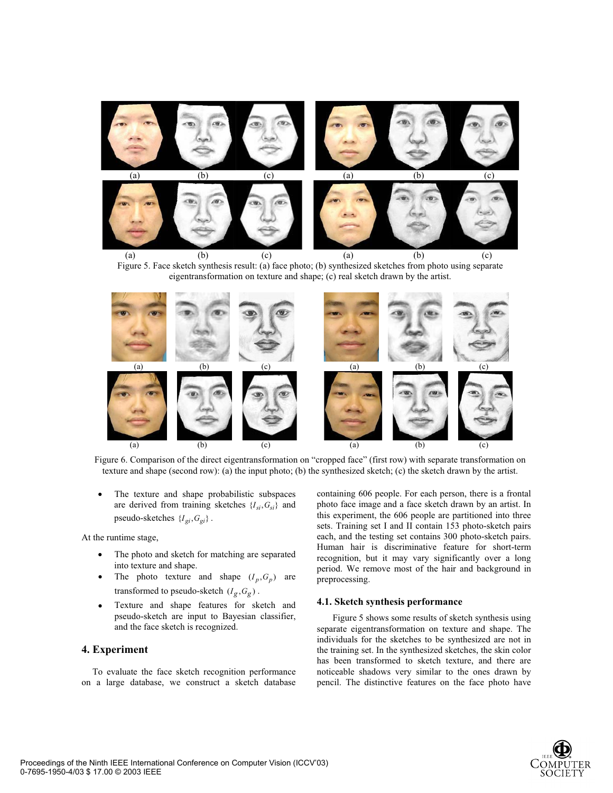





Figure 6. Comparison of the direct eigentransformation on "cropped face" (first row) with separate transformation on texture and shape (second row): (a) the input photo; (b) the synthesized sketch; (c) the sketch drawn by the artist.

The texture and shape probabilistic subspaces are derived from training sketches  ${I_{si}, G_{si}}$  and pseudo-sketches  ${I_{gi}, G_{gi}}$ .

At the runtime stage,

- The photo and sketch for matching are separated into texture and shape.
- The photo texture and shape  $(I_p, G_p)$  are transformed to pseudo-sketch  $(I_g, G_g)$ .
- Texture and shape features for sketch and pseudo-sketch are input to Bayesian classifier, and the face sketch is recognized.

## **4. Experiment**

To evaluate the face sketch recognition performance on a large database, we construct a sketch database containing 606 people. For each person, there is a frontal photo face image and a face sketch drawn by an artist. In this experiment, the 606 people are partitioned into three sets. Training set I and II contain 153 photo-sketch pairs each, and the testing set contains 300 photo-sketch pairs. Human hair is discriminative feature for short-term recognition, but it may vary significantly over a long period. We remove most of the hair and background in preprocessing.

### **4.1. Sketch synthesis performance**

Figure 5 shows some results of sketch synthesis using separate eigentransformation on texture and shape. The individuals for the sketches to be synthesized are not in the training set. In the synthesized sketches, the skin color has been transformed to sketch texture, and there are noticeable shadows very similar to the ones drawn by pencil. The distinctive features on the face photo have

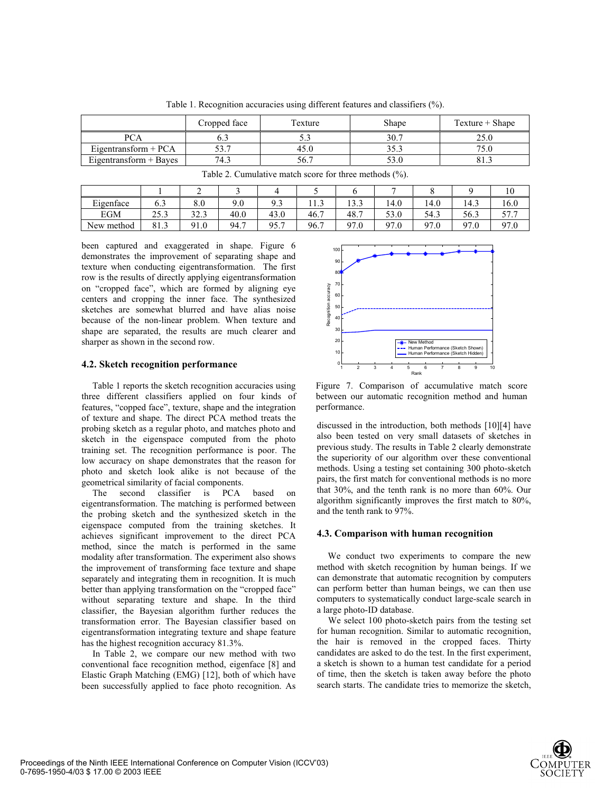Cropped face Texture Texture Shape Texture + Shape PCA | 6.3 | 5.3 | 30.7 | 25.0 Eigentransform + PCA 53.7 45.0 35.3 75.0<br>
Eigentransform + Baves 74.3 56.7 53.0 81.3 Eigentransform  $+$  Bayes

Table 1. Recognition accuracies using different features and classifiers (%).

| Tuble 2. Cumulative material secretarily interference (70). |      |      |      |      |      |      |      |      |      |                 |
|-------------------------------------------------------------|------|------|------|------|------|------|------|------|------|-----------------|
|                                                             |      |      |      |      |      |      |      |      |      |                 |
| Eigenface                                                   | 6.3  | 8.0  | 9.0  | ۹۹   |      | 13.3 | 14.0 | 14.0 | 14.3 | 16.0            |
| <b>EGM</b>                                                  | 25.3 | 32.3 | 40.0 | 43.0 | 46.7 | 48.7 | 53.0 | 54.3 | 56.3 | 57 T<br>J / . J |
| New method                                                  | 81.3 | 91.0 | 94.7 | 95.7 | 96.7 | 97.0 | 97.0 | 97.0 | 97.0 | 97.0            |

Table 2. Cumulative match score for three methods (%).

been captured and exaggerated in shape. Figure 6 demonstrates the improvement of separating shape and texture when conducting eigentransformation. The first row is the results of directly applying eigentransformation on "cropped face", which are formed by aligning eye centers and cropping the inner face. The synthesized sketches are somewhat blurred and have alias noise because of the non-linear problem. When texture and shape are separated, the results are much clearer and sharper as shown in the second row.

### **4.2. Sketch recognition performance**

Table 1 reports the sketch recognition accuracies using three different classifiers applied on four kinds of features, "copped face", texture, shape and the integration of texture and shape. The direct PCA method treats the probing sketch as a regular photo, and matches photo and sketch in the eigenspace computed from the photo training set. The recognition performance is poor. The low accuracy on shape demonstrates that the reason for photo and sketch look alike is not because of the geometrical similarity of facial components.

The second classifier is PCA based on eigentransformation. The matching is performed between the probing sketch and the synthesized sketch in the eigenspace computed from the training sketches. It achieves significant improvement to the direct PCA method, since the match is performed in the same modality after transformation. The experiment also shows the improvement of transforming face texture and shape separately and integrating them in recognition. It is much better than applying transformation on the "cropped face" without separating texture and shape. In the third classifier, the Bayesian algorithm further reduces the transformation error. The Bayesian classifier based on eigentransformation integrating texture and shape feature has the highest recognition accuracy 81.3%.

In Table 2, we compare our new method with two conventional face recognition method, eigenface [8] and Elastic Graph Matching (EMG) [12], both of which have been successfully applied to face photo recognition. As



Figure 7. Comparison of accumulative match score between our automatic recognition method and human performance.

discussed in the introduction, both methods [10][4] have also been tested on very small datasets of sketches in previous study. The results in Table 2 clearly demonstrate the superiority of our algorithm over these conventional methods. Using a testing set containing 300 photo-sketch pairs, the first match for conventional methods is no more that 30%, and the tenth rank is no more than 60%. Our algorithm significantly improves the first match to 80%, and the tenth rank to 97%.

### **4.3. Comparison with human recognition**

We conduct two experiments to compare the new method with sketch recognition by human beings. If we can demonstrate that automatic recognition by computers can perform better than human beings, we can then use computers to systematically conduct large-scale search in a large photo-ID database.

We select 100 photo-sketch pairs from the testing set for human recognition. Similar to automatic recognition, the hair is removed in the cropped faces. Thirty candidates are asked to do the test. In the first experiment, a sketch is shown to a human test candidate for a period of time, then the sketch is taken away before the photo search starts. The candidate tries to memorize the sketch,